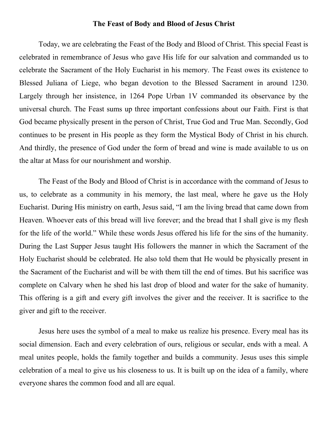## The Feast of Body and Blood of Jesus Christ

Today, we are celebrating the Feast of the Body and Blood of Christ. This special Feast is celebrated in remembrance of Jesus who gave His life for our salvation and commanded us to celebrate the Sacrament of the Holy Eucharist in his memory. The Feast owes its existence to Blessed Juliana of Liege, who began devotion to the Blessed Sacrament in around 1230. Largely through her insistence, in 1264 Pope Urban 1V commanded its observance by the universal church. The Feast sums up three important confessions about our Faith. First is that God became physically present in the person of Christ, True God and True Man. Secondly, God continues to be present in His people as they form the Mystical Body of Christ in his church. And thirdly, the presence of God under the form of bread and wine is made available to us on the altar at Mass for our nourishment and worship.

The Feast of the Body and Blood of Christ is in accordance with the command of Jesus to us, to celebrate as a community in his memory, the last meal, where he gave us the Holy Eucharist. During His ministry on earth, Jesus said, "I am the living bread that came down from Heaven. Whoever eats of this bread will live forever; and the bread that I shall give is my flesh for the life of the world." While these words Jesus offered his life for the sins of the humanity. During the Last Supper Jesus taught His followers the manner in which the Sacrament of the Holy Eucharist should be celebrated. He also told them that He would be physically present in the Sacrament of the Eucharist and will be with them till the end of times. But his sacrifice was complete on Calvary when he shed his last drop of blood and water for the sake of humanity. This offering is a gift and every gift involves the giver and the receiver. It is sacrifice to the giver and gift to the receiver.

Jesus here uses the symbol of a meal to make us realize his presence. Every meal has its social dimension. Each and every celebration of ours, religious or secular, ends with a meal. A meal unites people, holds the family together and builds a community. Jesus uses this simple celebration of a meal to give us his closeness to us. It is built up on the idea of a family, where everyone shares the common food and all are equal.